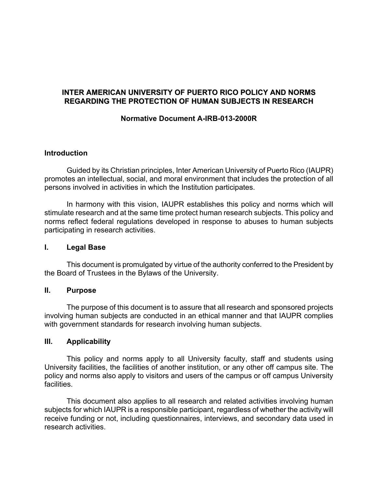# **INTER AMERICAN UNIVERSITY OF PUERTO RICO POLICY AND NORMS REGARDING THE PROTECTION OF HUMAN SUBJECTS IN RESEARCH**

## **Normative Document A-IRB-013-2000R**

#### **Introduction**

Guided by its Christian principles, Inter American University of Puerto Rico (IAUPR) promotes an intellectual, social, and moral environment that includes the protection of all persons involved in activities in which the Institution participates.

In harmony with this vision, IAUPR establishes this policy and norms which will stimulate research and at the same time protect human research subjects. This policy and norms reflect federal regulations developed in response to abuses to human subjects participating in research activities.

#### **I. Legal Base**

This document is promulgated by virtue of the authority conferred to the President by the Board of Trustees in the Bylaws of the University.

#### **II. Purpose**

The purpose of this document is to assure that all research and sponsored projects involving human subjects are conducted in an ethical manner and that IAUPR complies with government standards for research involving human subjects.

#### **III. Applicability**

This policy and norms apply to all University faculty, staff and students using University facilities, the facilities of another institution, or any other off campus site. The policy and norms also apply to visitors and users of the campus or off campus University facilities.

This document also applies to all research and related activities involving human subjects for which IAUPR is a responsible participant, regardless of whether the activity will receive funding or not, including questionnaires, interviews, and secondary data used in research activities.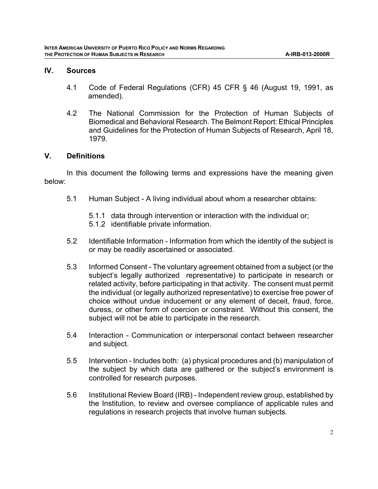#### **IV. Sources**

- 4.1 Code of Federal Regulations (CFR) 45 CFR § 46 (August 19, 1991, as amended).
- 4.2 The National Commission for the Protection of Human Subjects of Biomedical and Behavioral Research. The Belmont Report: Ethical Principles and Guidelines for the Protection of Human Subjects of Research, April 18, 1979.

## **V. Definitions**

In this document the following terms and expressions have the meaning given below:

- 5.1 Human Subject A living individual about whom a researcher obtains:
	- 5.1.1 data through intervention or interaction with the individual or;
	- 5.1.2 identifiable private information.
- 5.2 Identifiable Information Information from which the identity of the subject is or may be readily ascertained or associated.
- 5.3 Informed Consent The voluntary agreement obtained from a subject (or the subject's legally authorized representative) to participate in research or related activity, before participating in that activity. The consent must permit the individual (or legally authorized representative) to exercise free power of choice without undue inducement or any element of deceit, fraud, force, duress, or other form of coercion or constraint. Without this consent, the subject will not be able to participate in the research.
- 5.4 Interaction Communication or interpersonal contact between researcher and subject.
- 5.5 Intervention Includes both: (a) physical procedures and (b) manipulation of the subject by which data are gathered or the subject's environment is controlled for research purposes.
- 5.6 Institutional Review Board (IRB) Independent review group, established by the Institution, to review and oversee compliance of applicable rules and regulations in research projects that involve human subjects.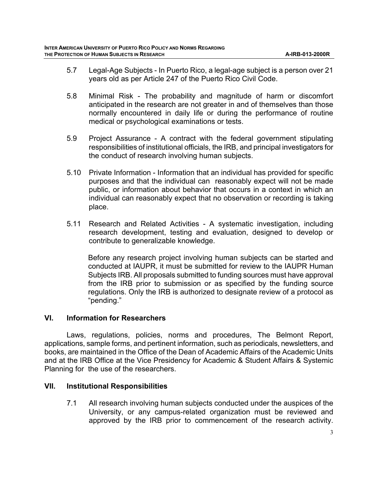- 5.7 Legal-Age Subjects In Puerto Rico, a legal-age subject is a person over 21 years old as per Article 247 of the Puerto Rico Civil Code.
- 5.8 Minimal Risk The probability and magnitude of harm or discomfort anticipated in the research are not greater in and of themselves than those normally encountered in daily life or during the performance of routine medical or psychological examinations or tests.
- 5.9 Project Assurance A contract with the federal government stipulating responsibilities of institutional officials, the IRB, and principal investigators for the conduct of research involving human subjects.
- 5.10 Private Information Information that an individual has provided for specific purposes and that the individual can reasonably expect will not be made public, or information about behavior that occurs in a context in which an individual can reasonably expect that no observation or recording is taking place.
- 5.11 Research and Related Activities A systematic investigation, including research development, testing and evaluation, designed to develop or contribute to generalizable knowledge.

Before any research project involving human subjects can be started and conducted at IAUPR, it must be submitted for review to the IAUPR Human Subjects IRB. All proposals submitted to funding sources must have approval from the IRB prior to submission or as specified by the funding source regulations. Only the IRB is authorized to designate review of a protocol as "pending."

## **VI. Information for Researchers**

Laws, regulations, policies, norms and procedures, The Belmont Report, applications, sample forms, and pertinent information, such as periodicals, newsletters, and books, are maintained in the Office of the Dean of Academic Affairs of the Academic Units and at the IRB Office at the Vice Presidency for Academic & Student Affairs & Systemic Planning for the use of the researchers.

## **VII. Institutional Responsibilities**

7.1 All research involving human subjects conducted under the auspices of the University, or any campus-related organization must be reviewed and approved by the IRB prior to commencement of the research activity.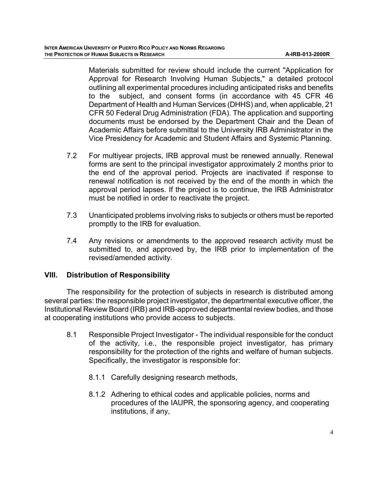Materials submitted for review should include the current "Application for Approval for Research Involving Human Subjects," a detailed protocol outlining all experimental procedures including anticipated risks and benefits to the subject, and consent forms (in accordance with 45 CFR 46 Department of Health and Human Services (DHHS) and, when applicable, 21 CFR 50 Federal Drug Administration (FDA). The application and supporting documents must be endorsed by the Department Chair and the Dean of Academic Affairs before submittal to the University IRB Administrator in the Vice Presidency for Academic and Student Affairs and Systemic Planning.

- 7.2 For multiyear projects, IRB approval must be renewed annually. Renewal forms are sent to the principal investigator approximately 2 months prior to the end of the approval period. Projects are inactivated if response to renewal notification is not received by the end of the month in which the approval period lapses. If the project is to continue, the IRB Administrator must be notified in order to reactivate the project.
- 7.3 Unanticipated problems involving risks to subjects or others must be reported promptly to the IRB for evaluation.
- 7.4 Any revisions or amendments to the approved research activity must be submitted to, and approved by, the IRB prior to implementation of the revised/amended activity.

## **VIII. Distribution of Responsibility**

The responsibility for the protection of subjects in research is distributed among several parties: the responsible project investigator, the departmental executive officer, the Institutional Review Board (IRB) and IRB-approved departmental review bodies, and those at cooperating institutions who provide access to subjects.

- 8.1 Responsible Project Investigator The individual responsible for the conduct of the activity, i.e., the responsible project investigator, has primary responsibility for the protection of the rights and welfare of human subjects. Specifically, the investigator is responsible for:
	- 8.1.1 Carefully designing research methods,
	- 8.1.2 Adhering to ethical codes and applicable policies, norms and procedures of the IAUPR, the sponsoring agency, and cooperating institutions, if any,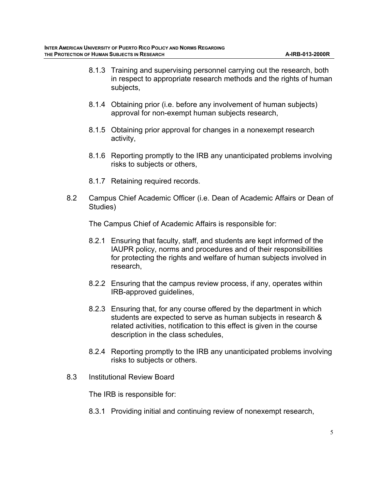- 8.1.3 Training and supervising personnel carrying out the research, both in respect to appropriate research methods and the rights of human subjects,
- 8.1.4 Obtaining prior (i.e. before any involvement of human subjects) approval for non-exempt human subjects research,
- 8.1.5 Obtaining prior approval for changes in a nonexempt research activity,
- 8.1.6 Reporting promptly to the IRB any unanticipated problems involving risks to subjects or others,
- 8.1.7 Retaining required records.
- 8.2 Campus Chief Academic Officer (i.e. Dean of Academic Affairs or Dean of Studies)

The Campus Chief of Academic Affairs is responsible for:

- 8.2.1 Ensuring that faculty, staff, and students are kept informed of the IAUPR policy, norms and procedures and of their responsibilities for protecting the rights and welfare of human subjects involved in research,
- 8.2.2 Ensuring that the campus review process, if any, operates within IRB-approved guidelines,
- 8.2.3 Ensuring that, for any course offered by the department in which students are expected to serve as human subjects in research & related activities, notification to this effect is given in the course description in the class schedules,
- 8.2.4 Reporting promptly to the IRB any unanticipated problems involving risks to subjects or others.
- 8.3 Institutional Review Board

The IRB is responsible for:

8.3.1 Providing initial and continuing review of nonexempt research,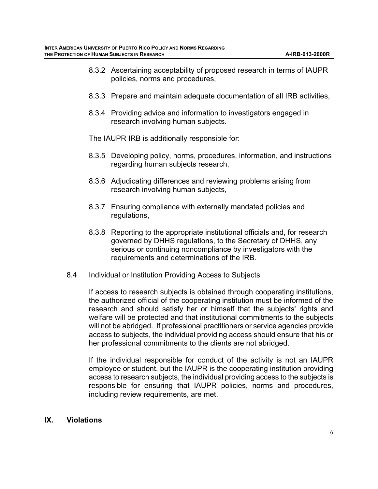- 8.3.2 Ascertaining acceptability of proposed research in terms of IAUPR policies, norms and procedures,
- 8.3.3 Prepare and maintain adequate documentation of all IRB activities,
- 8.3.4 Providing advice and information to investigators engaged in research involving human subjects.

The IAUPR IRB is additionally responsible for:

- 8.3.5 Developing policy, norms, procedures, information, and instructions regarding human subjects research,
- 8.3.6 Adjudicating differences and reviewing problems arising from research involving human subjects,
- 8.3.7 Ensuring compliance with externally mandated policies and regulations,
- 8.3.8 Reporting to the appropriate institutional officials and, for research governed by DHHS regulations, to the Secretary of DHHS, any serious or continuing noncompliance by investigators with the requirements and determinations of the IRB.
- 8.4 Individual or Institution Providing Access to Subjects

If access to research subjects is obtained through cooperating institutions, the authorized official of the cooperating institution must be informed of the research and should satisfy her or himself that the subjects' rights and welfare will be protected and that institutional commitments to the subjects will not be abridged. If professional practitioners or service agencies provide access to subjects, the individual providing access should ensure that his or her professional commitments to the clients are not abridged.

If the individual responsible for conduct of the activity is not an IAUPR employee or student, but the IAUPR is the cooperating institution providing access to research subjects, the individual providing access to the subjects is responsible for ensuring that IAUPR policies, norms and procedures, including review requirements, are met.

#### **IX. Violations**